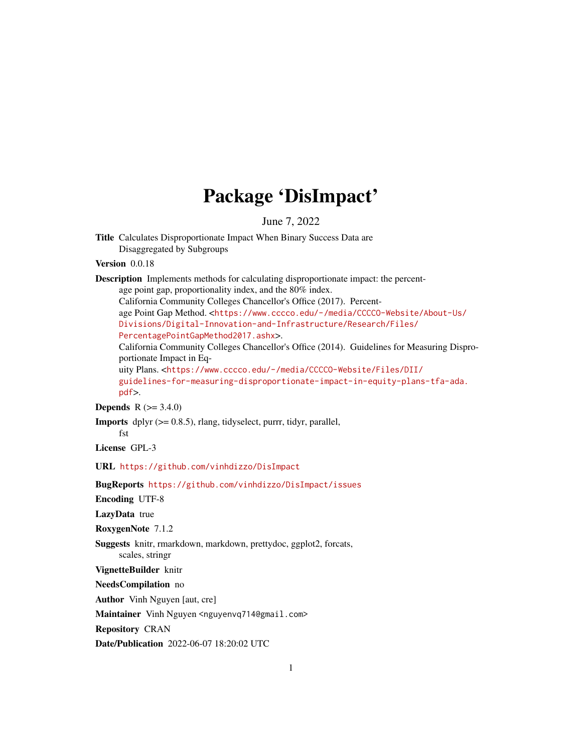# Package 'DisImpact'

June 7, 2022

<span id="page-0-0"></span>Title Calculates Disproportionate Impact When Binary Success Data are Disaggregated by Subgroups

Version 0.0.18

Description Implements methods for calculating disproportionate impact: the percentage point gap, proportionality index, and the 80% index.

California Community Colleges Chancellor's Office (2017). Percent-

age Point Gap Method. <[https://www.cccco.edu/-/media/CCCCO-Website/About-Us/](https://www.cccco.edu/-/media/CCCCO-Website/About-Us/Divisions/Digital-Innovation-and-Infrastructure/Research/Files/PercentagePointGapMethod2017.ashx) [Divisions/Digital-Innovation-and-Infrastructure/Research/Files/](https://www.cccco.edu/-/media/CCCCO-Website/About-Us/Divisions/Digital-Innovation-and-Infrastructure/Research/Files/PercentagePointGapMethod2017.ashx)

[PercentagePointGapMethod2017.ashx](https://www.cccco.edu/-/media/CCCCO-Website/About-Us/Divisions/Digital-Innovation-and-Infrastructure/Research/Files/PercentagePointGapMethod2017.ashx)>.

California Community Colleges Chancellor's Office (2014). Guidelines for Measuring Disproportionate Impact in Eq-

uity Plans. <[https://www.cccco.edu/-/media/CCCCO-Website/Files/DII/](https://www.cccco.edu/-/media/CCCCO-Website/Files/DII/guidelines-for-measuring-disproportionate-impact-in-equity-plans-tfa-ada.pdf) [guidelines-for-measuring-disproportionate-impact-in-equity-plans-tfa-ada.](https://www.cccco.edu/-/media/CCCCO-Website/Files/DII/guidelines-for-measuring-disproportionate-impact-in-equity-plans-tfa-ada.pdf) [pdf](https://www.cccco.edu/-/media/CCCCO-Website/Files/DII/guidelines-for-measuring-disproportionate-impact-in-equity-plans-tfa-ada.pdf)>.

**Depends**  $R (= 3.4.0)$ 

Imports dplyr (>= 0.8.5), rlang, tidyselect, purrr, tidyr, parallel,

fst License GPL-3

URL <https://github.com/vinhdizzo/DisImpact>

BugReports <https://github.com/vinhdizzo/DisImpact/issues>

Encoding UTF-8

LazyData true

RoxygenNote 7.1.2

Suggests knitr, rmarkdown, markdown, prettydoc, ggplot2, forcats,

scales, stringr

VignetteBuilder knitr

NeedsCompilation no

Author Vinh Nguyen [aut, cre]

Maintainer Vinh Nguyen <nguyenvq714@gmail.com>

Repository CRAN

Date/Publication 2022-06-07 18:20:02 UTC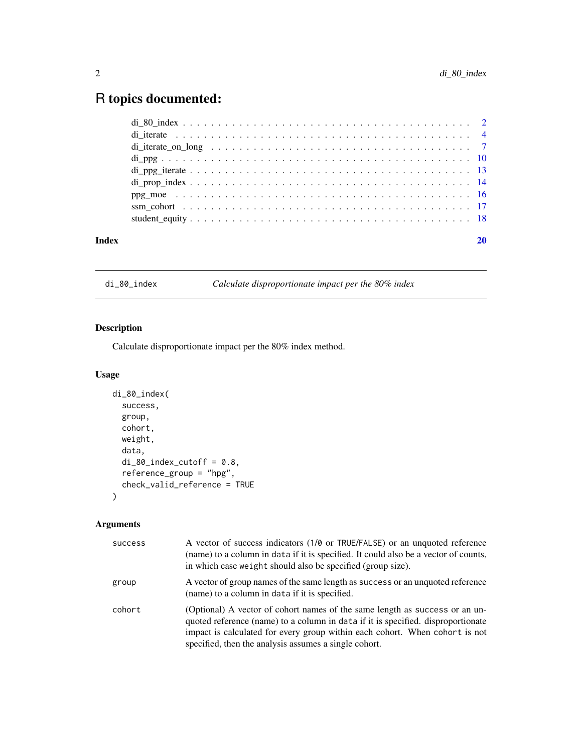# <span id="page-1-0"></span>R topics documented:

| Index |  |
|-------|--|

<span id="page-1-1"></span>di\_80\_index *Calculate disproportionate impact per the 80% index*

#### Description

Calculate disproportionate impact per the 80% index method.

#### Usage

```
di_80_index(
 success,
 group,
 cohort,
 weight,
 data,
 di_80_ index_cutoff = 0.8,
  reference_group = "hpg",
  check_valid_reference = TRUE
)
```

| success | A vector of success indicators (1/0 or TRUE/FALSE) or an unquoted reference<br>(name) to a column in data if it is specified. It could also be a vector of counts,<br>in which case weight should also be specified (group size).                                                                       |
|---------|---------------------------------------------------------------------------------------------------------------------------------------------------------------------------------------------------------------------------------------------------------------------------------------------------------|
| group   | A vector of group names of the same length as success or an unquoted reference<br>(name) to a column in data if it is specified.                                                                                                                                                                        |
| cohort  | (Optional) A vector of cohort names of the same length as success or an un-<br>quoted reference (name) to a column in data if it is specified. disproportionate<br>impact is calculated for every group within each cohort. When cohort is not<br>specified, then the analysis assumes a single cohort. |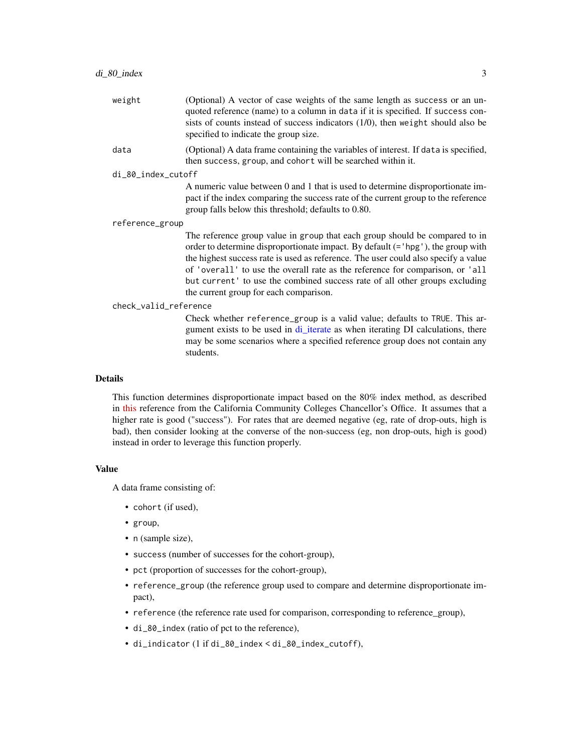<span id="page-2-0"></span>

| (Optional) A vector of case weights of the same length as success or an un-<br>quoted reference (name) to a column in data if it is specified. If success con-<br>sists of counts instead of success indicators $(1/0)$ , then weight should also be<br>specified to indicate the group size.                                                                                                                                                                   |  |
|-----------------------------------------------------------------------------------------------------------------------------------------------------------------------------------------------------------------------------------------------------------------------------------------------------------------------------------------------------------------------------------------------------------------------------------------------------------------|--|
| (Optional) A data frame containing the variables of interest. If data is specified,<br>then success, group, and cohort will be searched within it.                                                                                                                                                                                                                                                                                                              |  |
| di_80_index_cutoff                                                                                                                                                                                                                                                                                                                                                                                                                                              |  |
| A numeric value between 0 and 1 that is used to determine disproportionate im-<br>pact if the index comparing the success rate of the current group to the reference<br>group falls below this threshold; defaults to 0.80.                                                                                                                                                                                                                                     |  |
| reference_group                                                                                                                                                                                                                                                                                                                                                                                                                                                 |  |
| The reference group value in group that each group should be compared to in<br>order to determine disproportionate impact. By default (= 'hpg'), the group with<br>the highest success rate is used as reference. The user could also specify a value<br>of 'overall' to use the overall rate as the reference for comparison, or 'all<br>but current' to use the combined success rate of all other groups excluding<br>the current group for each comparison. |  |
| check_valid_reference                                                                                                                                                                                                                                                                                                                                                                                                                                           |  |
| Check whether reference_group is a valid value; defaults to TRUE. This ar-<br>gument exists to be used in di_iterate as when iterating DI calculations, there<br>may be some scenarios where a specified reference group does not contain any<br>students.                                                                                                                                                                                                      |  |
|                                                                                                                                                                                                                                                                                                                                                                                                                                                                 |  |

This function determines disproportionate impact based on the 80% index method, as described in [this](https://www.cccco.edu/-/media/CCCCO-Website/Files/DII/guidelines-for-measuring-disproportionate-impact-in-equity-plans-tfa-ada.pdf) reference from the California Community Colleges Chancellor's Office. It assumes that a higher rate is good ("success"). For rates that are deemed negative (eg, rate of drop-outs, high is bad), then consider looking at the converse of the non-success (eg, non drop-outs, high is good) instead in order to leverage this function properly.

#### Value

A data frame consisting of:

- cohort (if used),
- group,
- n (sample size),
- success (number of successes for the cohort-group),
- pct (proportion of successes for the cohort-group),
- reference\_group (the reference group used to compare and determine disproportionate impact),
- reference (the reference rate used for comparison, corresponding to reference\_group),
- di\_80\_index (ratio of pct to the reference),
- di\_indicator (1 if di\_80\_index < di\_80\_index\_cutoff),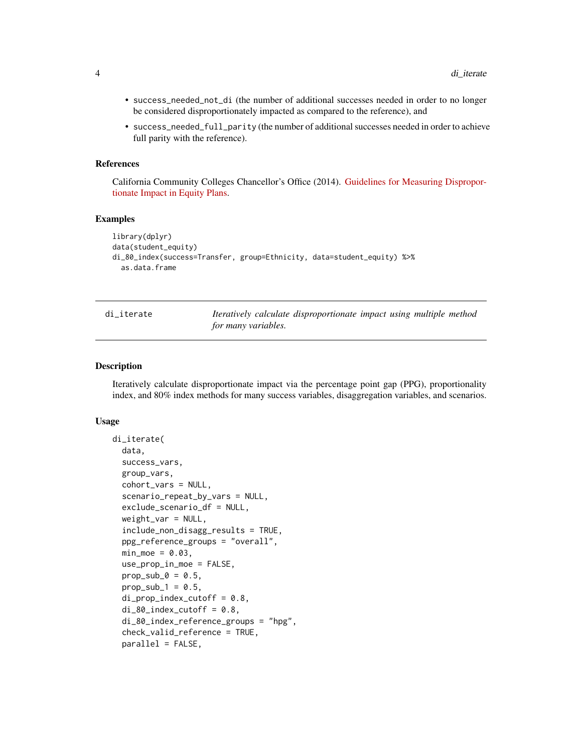- <span id="page-3-0"></span>• success\_needed\_not\_di (the number of additional successes needed in order to no longer be considered disproportionately impacted as compared to the reference), and
- success\_needed\_full\_parity (the number of additional successes needed in order to achieve full parity with the reference).

#### References

California Community Colleges Chancellor's Office (2014). [Guidelines for Measuring Dispropor](https://www.cccco.edu/-/media/CCCCO-Website/About-Us/Divisions/Digital-Innovation-and-Infrastructure/Network-Operations/Accountability/Files/GUIDELINES-FOR-MEASURING-DISPROPORTIONATE-IMPACT-IN-EQUITY-PLANS.ashx)[tionate Impact in Equity Plans.](https://www.cccco.edu/-/media/CCCCO-Website/About-Us/Divisions/Digital-Innovation-and-Infrastructure/Network-Operations/Accountability/Files/GUIDELINES-FOR-MEASURING-DISPROPORTIONATE-IMPACT-IN-EQUITY-PLANS.ashx)

#### Examples

```
library(dplyr)
data(student_equity)
di_80_index(success=Transfer, group=Ethnicity, data=student_equity) %>%
 as.data.frame
```
<span id="page-3-1"></span>

| di iterate |
|------------|
|------------|

Iteratively calculate disproportionate impact using multiple method *for many variables.*

#### Description

Iteratively calculate disproportionate impact via the percentage point gap (PPG), proportionality index, and 80% index methods for many success variables, disaggregation variables, and scenarios.

#### Usage

```
di_iterate(
  data,
  success_vars,
  group_vars,
  cohort_vars = NULL,
  scenario_repeat_by_vars = NULL,
  exclude_scenario_df = NULL,
  weight\_var = NULL,include_non_disagg_results = TRUE,
  ppg_reference_groups = "overall",
 min\_moe = 0.03,
  use_prop_in_moe = FALSE,
 prop\_sub_0 = 0.5,
  prop_sub_1 = 0.5,
  di\_prop\_index\_cutoff = 0.8,
  di_80_ index_cutoff = 0.8,
  di_80_index_reference_groups = "hpg",
  check_valid_reference = TRUE,
  parallel = FALSE,
```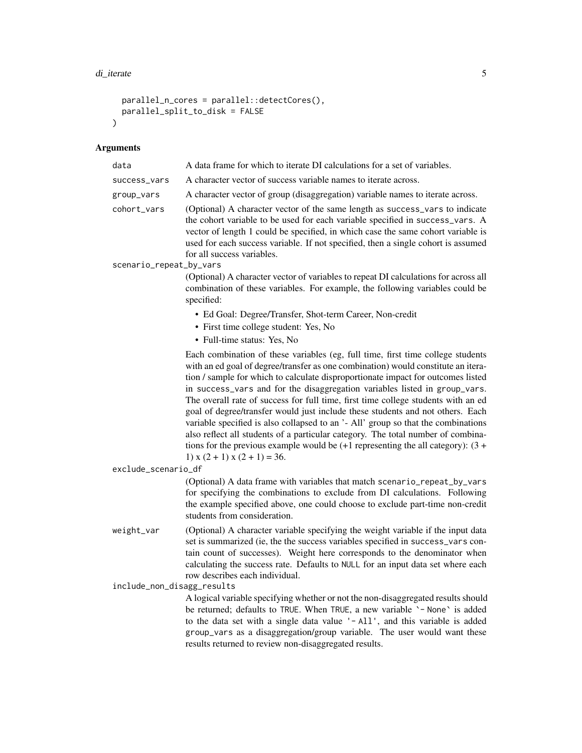```
parallel_n_cores = parallel::detectCores(),
 parallel_split_to_disk = FALSE
\mathcal{L}
```

| data                       | A data frame for which to iterate DI calculations for a set of variables.                                                                                                                                                                                                                                                                                                                                                                                                                                                                                                                                                                                                                                                                                                                                        |
|----------------------------|------------------------------------------------------------------------------------------------------------------------------------------------------------------------------------------------------------------------------------------------------------------------------------------------------------------------------------------------------------------------------------------------------------------------------------------------------------------------------------------------------------------------------------------------------------------------------------------------------------------------------------------------------------------------------------------------------------------------------------------------------------------------------------------------------------------|
| success_vars               | A character vector of success variable names to iterate across.                                                                                                                                                                                                                                                                                                                                                                                                                                                                                                                                                                                                                                                                                                                                                  |
| group_vars                 | A character vector of group (disaggregation) variable names to iterate across.                                                                                                                                                                                                                                                                                                                                                                                                                                                                                                                                                                                                                                                                                                                                   |
| cohort_vars                | (Optional) A character vector of the same length as success_vars to indicate<br>the cohort variable to be used for each variable specified in success_vars. A<br>vector of length 1 could be specified, in which case the same cohort variable is<br>used for each success variable. If not specified, then a single cohort is assumed<br>for all success variables.                                                                                                                                                                                                                                                                                                                                                                                                                                             |
| scenario_repeat_by_vars    |                                                                                                                                                                                                                                                                                                                                                                                                                                                                                                                                                                                                                                                                                                                                                                                                                  |
|                            | (Optional) A character vector of variables to repeat DI calculations for across all<br>combination of these variables. For example, the following variables could be<br>specified:                                                                                                                                                                                                                                                                                                                                                                                                                                                                                                                                                                                                                               |
|                            | • Ed Goal: Degree/Transfer, Shot-term Career, Non-credit                                                                                                                                                                                                                                                                                                                                                                                                                                                                                                                                                                                                                                                                                                                                                         |
|                            | • First time college student: Yes, No                                                                                                                                                                                                                                                                                                                                                                                                                                                                                                                                                                                                                                                                                                                                                                            |
|                            | • Full-time status: Yes, No                                                                                                                                                                                                                                                                                                                                                                                                                                                                                                                                                                                                                                                                                                                                                                                      |
| exclude_scenario_df        | Each combination of these variables (eg, full time, first time college students<br>with an ed goal of degree/transfer as one combination) would constitute an itera-<br>tion / sample for which to calculate disproportionate impact for outcomes listed<br>in success_vars and for the disaggregation variables listed in group_vars.<br>The overall rate of success for full time, first time college students with an ed<br>goal of degree/transfer would just include these students and not others. Each<br>variable specified is also collapsed to an '- All' group so that the combinations<br>also reflect all students of a particular category. The total number of combina-<br>tions for the previous example would be $(+1)$ representing the all category): $(3 +$<br>1) $x(2 + 1) x(2 + 1) = 36$ . |
|                            | (Optional) A data frame with variables that match scenario_repeat_by_vars                                                                                                                                                                                                                                                                                                                                                                                                                                                                                                                                                                                                                                                                                                                                        |
|                            | for specifying the combinations to exclude from DI calculations. Following<br>the example specified above, one could choose to exclude part-time non-credit<br>students from consideration.                                                                                                                                                                                                                                                                                                                                                                                                                                                                                                                                                                                                                      |
| weight_var                 | (Optional) A character variable specifying the weight variable if the input data<br>set is summarized (ie, the the success variables specified in success_vars con-<br>tain count of successes). Weight here corresponds to the denominator when<br>calculating the success rate. Defaults to NULL for an input data set where each<br>row describes each individual.                                                                                                                                                                                                                                                                                                                                                                                                                                            |
| include_non_disagg_results |                                                                                                                                                                                                                                                                                                                                                                                                                                                                                                                                                                                                                                                                                                                                                                                                                  |
|                            | A logical variable specifying whether or not the non-disaggregated results should<br>be returned; defaults to TRUE. When TRUE, a new variable '- None' is added<br>to the data set with a single data value '-All', and this variable is added<br>group_vars as a disaggregation/group variable. The user would want these<br>results returned to review non-disaggregated results.                                                                                                                                                                                                                                                                                                                                                                                                                              |
|                            |                                                                                                                                                                                                                                                                                                                                                                                                                                                                                                                                                                                                                                                                                                                                                                                                                  |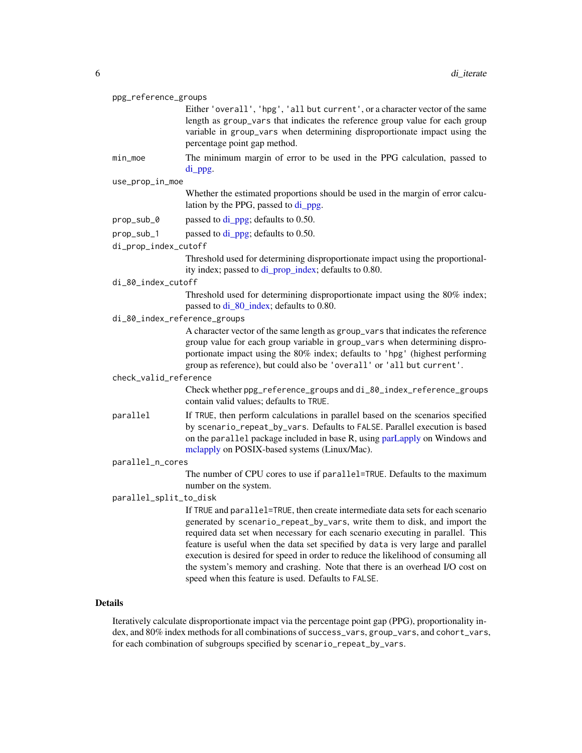#### <span id="page-5-0"></span>ppg\_reference\_groups

Either 'overall', 'hpg', 'all but current', or a character vector of the same length as group\_vars that indicates the reference group value for each group variable in group\_vars when determining disproportionate impact using the percentage point gap method.

min\_moe The minimum margin of error to be used in the PPG calculation, passed to [di\\_ppg.](#page-9-1)

#### use\_prop\_in\_moe

Whether the estimated proportions should be used in the margin of error calculation by the PPG, passed to [di\\_ppg.](#page-9-1)

- prop\_sub\_0 passed to [di\\_ppg;](#page-9-1) defaults to 0.50.
- prop\_sub\_1 passed to [di\\_ppg;](#page-9-1) defaults to 0.50.

#### di\_prop\_index\_cutoff

Threshold used for determining disproportionate impact using the proportionality index; passed to [di\\_prop\\_index;](#page-13-1) defaults to 0.80.

di\_80\_index\_cutoff

Threshold used for determining disproportionate impact using the 80% index; passed to [di\\_80\\_index;](#page-1-1) defaults to 0.80.

di\_80\_index\_reference\_groups

A character vector of the same length as group\_vars that indicates the reference group value for each group variable in group\_vars when determining disproportionate impact using the 80% index; defaults to 'hpg' (highest performing group as reference), but could also be 'overall' or 'all but current'.

#### check\_valid\_reference

Check whether ppg\_reference\_groups and di\_80\_index\_reference\_groups contain valid values; defaults to TRUE.

parallel If TRUE, then perform calculations in parallel based on the scenarios specified by scenario\_repeat\_by\_vars. Defaults to FALSE. Parallel execution is based on the parallel package included in base R, using [parLapply](#page-0-0) on Windows and [mclapply](#page-0-0) on POSIX-based systems (Linux/Mac).

#### parallel\_n\_cores

The number of CPU cores to use if parallel=TRUE. Defaults to the maximum number on the system.

#### parallel\_split\_to\_disk

If TRUE and parallel=TRUE, then create intermediate data sets for each scenario generated by scenario\_repeat\_by\_vars, write them to disk, and import the required data set when necessary for each scenario executing in parallel. This feature is useful when the data set specified by data is very large and parallel execution is desired for speed in order to reduce the likelihood of consuming all the system's memory and crashing. Note that there is an overhead I/O cost on speed when this feature is used. Defaults to FALSE.

#### Details

Iteratively calculate disproportionate impact via the percentage point gap (PPG), proportionality index, and 80% index methods for all combinations of success\_vars, group\_vars, and cohort\_vars, for each combination of subgroups specified by scenario\_repeat\_by\_vars.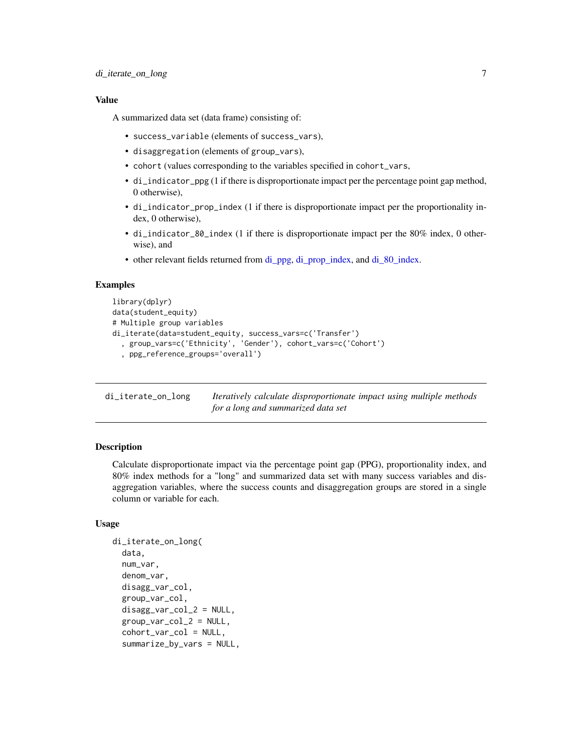#### <span id="page-6-0"></span>Value

A summarized data set (data frame) consisting of:

- success\_variable (elements of success\_vars),
- disaggregation (elements of group\_vars),
- cohort (values corresponding to the variables specified in cohort\_vars,
- di\_indicator\_ppg (1 if there is disproportionate impact per the percentage point gap method, 0 otherwise),
- di\_indicator\_prop\_index (1 if there is disproportionate impact per the proportionality index, 0 otherwise),
- di\_indicator\_80\_index (1 if there is disproportionate impact per the 80% index, 0 otherwise), and
- other relevant fields returned from [di\\_ppg,](#page-9-1) [di\\_prop\\_index,](#page-13-1) and [di\\_80\\_index.](#page-1-1)

#### Examples

```
library(dplyr)
data(student_equity)
# Multiple group variables
di_iterate(data=student_equity, success_vars=c('Transfer')
  , group_vars=c('Ethnicity', 'Gender'), cohort_vars=c('Cohort')
  , ppg_reference_groups='overall')
```
di\_iterate\_on\_long *Iteratively calculate disproportionate impact using multiple methods for a long and summarized data set*

#### **Description**

Calculate disproportionate impact via the percentage point gap (PPG), proportionality index, and 80% index methods for a "long" and summarized data set with many success variables and disaggregation variables, where the success counts and disaggregation groups are stored in a single column or variable for each.

#### Usage

```
di_iterate_on_long(
  data,
  num_var,
  denom_var,
  disagg_var_col,
  group_var_col,
  disagg_{var_{col}}_2 = NULL,
  group\_var\_col_2 = NULL,cohort_var_col = NULL,
  summarize_by_vars = NULL,
```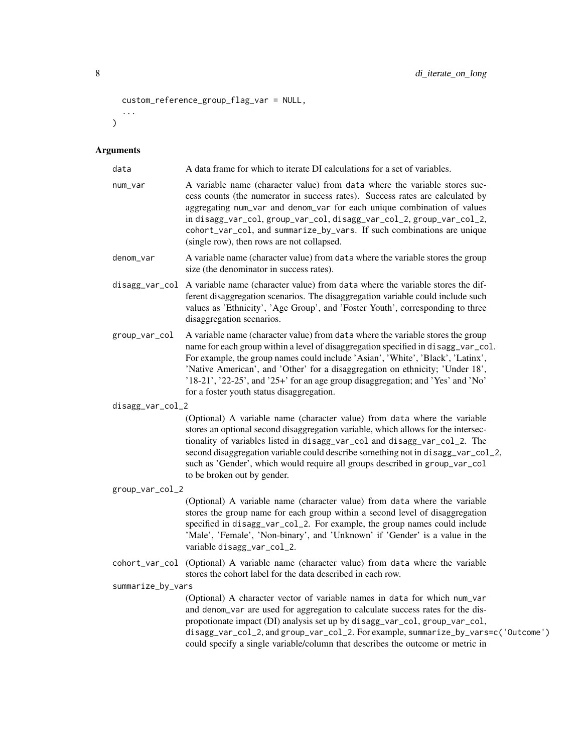```
custom_reference_group_flag_var = NULL,
  ...
)
```

| data              | A data frame for which to iterate DI calculations for a set of variables.                                                                                                                                                                                                                                                                                                                                                                                                |
|-------------------|--------------------------------------------------------------------------------------------------------------------------------------------------------------------------------------------------------------------------------------------------------------------------------------------------------------------------------------------------------------------------------------------------------------------------------------------------------------------------|
| num_var           | A variable name (character value) from data where the variable stores suc-<br>cess counts (the numerator in success rates). Success rates are calculated by<br>aggregating num_var and denom_var for each unique combination of values<br>in disagg_var_col, group_var_col, disagg_var_col_2, group_var_col_2,<br>cohort_var_col, and summarize_by_vars. If such combinations are unique<br>(single row), then rows are not collapsed.                                   |
| denom_var         | A variable name (character value) from data where the variable stores the group<br>size (the denominator in success rates).                                                                                                                                                                                                                                                                                                                                              |
|                   | disagg_var_col A variable name (character value) from data where the variable stores the dif-<br>ferent disaggregation scenarios. The disaggregation variable could include such<br>values as 'Ethnicity', 'Age Group', and 'Foster Youth', corresponding to three<br>disaggregation scenarios.                                                                                                                                                                          |
| group_var_col     | A variable name (character value) from data where the variable stores the group<br>name for each group within a level of disaggregation specified in disagg_var_col.<br>For example, the group names could include 'Asian', 'White', 'Black', 'Latinx',<br>'Native American', and 'Other' for a disaggregation on ethnicity; 'Under 18',<br>'18-21', '22-25', and '25+' for an age group disaggregation; and 'Yes' and 'No'<br>for a foster youth status disaggregation. |
| disagg_var_col_2  |                                                                                                                                                                                                                                                                                                                                                                                                                                                                          |
|                   | (Optional) A variable name (character value) from data where the variable<br>stores an optional second disaggregation variable, which allows for the intersec-<br>tionality of variables listed in disagg_var_col and disagg_var_col_2. The<br>second disaggregation variable could describe something not in disagg_var_col_2,<br>such as 'Gender', which would require all groups described in group_var_col<br>to be broken out by gender.                            |
| group_var_col_2   |                                                                                                                                                                                                                                                                                                                                                                                                                                                                          |
|                   | (Optional) A variable name (character value) from data where the variable<br>stores the group name for each group within a second level of disaggregation<br>specified in disagg_var_col_2. For example, the group names could include<br>'Male', 'Female', 'Non-binary', and 'Unknown' if 'Gender' is a value in the<br>variable disagg_var_col_2.                                                                                                                      |
|                   | cohort_var_col (Optional) A variable name (character value) from data where the variable<br>stores the cohort label for the data described in each row.                                                                                                                                                                                                                                                                                                                  |
| summarize_by_vars |                                                                                                                                                                                                                                                                                                                                                                                                                                                                          |
|                   | (Optional) A character vector of variable names in data for which num_var<br>and denom_var are used for aggregation to calculate success rates for the dis-<br>propotionate impact (DI) analysis set up by disagg_var_col, group_var_col,<br>disagg_var_col_2, and group_var_col_2. For example, summarize_by_vars=c('Outcome')<br>could specify a single variable/column that describes the outcome or metric in                                                        |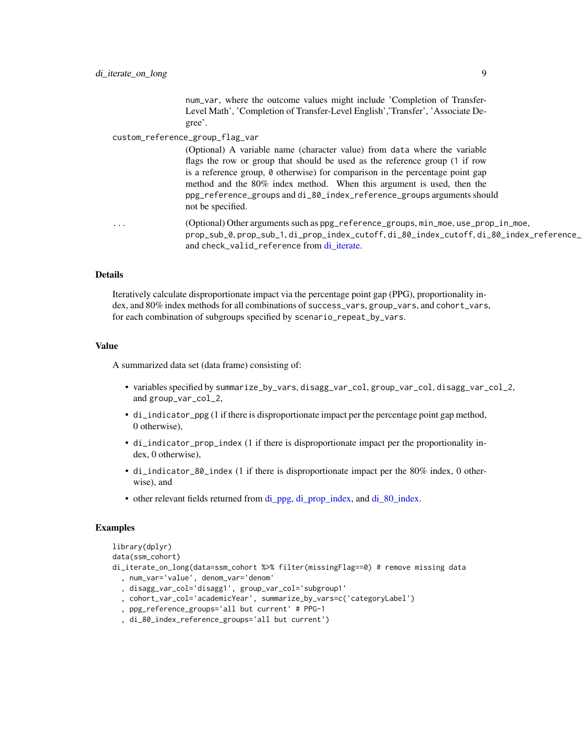num\_var, where the outcome values might include 'Completion of Transfer-Level Math', 'Completion of Transfer-Level English','Transfer', 'Associate Degree'.

#### <span id="page-8-0"></span>custom\_reference\_group\_flag\_var

(Optional) A variable name (character value) from data where the variable flags the row or group that should be used as the reference group (1 if row is a reference group, 0 otherwise) for comparison in the percentage point gap method and the 80% index method. When this argument is used, then the ppg\_reference\_groups and di\_80\_index\_reference\_groups arguments should not be specified.

... (Optional) Other arguments such as ppg\_reference\_groups, min\_moe, use\_prop\_in\_moe, prop\_sub\_0, prop\_sub\_1, di\_prop\_index\_cutoff, di\_80\_index\_cutoff, di\_80\_index\_reference\_ and check\_valid\_reference from di iterate.

#### Details

Iteratively calculate disproportionate impact via the percentage point gap (PPG), proportionality index, and 80% index methods for all combinations of success\_vars, group\_vars, and cohort\_vars, for each combination of subgroups specified by scenario\_repeat\_by\_vars.

#### Value

A summarized data set (data frame) consisting of:

- variables specified by summarize\_by\_vars, disagg\_var\_col, group\_var\_col, disagg\_var\_col\_2, and group\_var\_col\_2,
- di\_indicator\_ppg (1 if there is disproportionate impact per the percentage point gap method, 0 otherwise),
- di\_indicator\_prop\_index (1 if there is disproportionate impact per the proportionality index, 0 otherwise),
- di\_indicator\_80\_index (1 if there is disproportionate impact per the 80% index, 0 otherwise), and
- other relevant fields returned from [di\\_ppg,](#page-9-1) [di\\_prop\\_index,](#page-13-1) and di  $80$  index.

#### Examples

```
library(dplyr)
data(ssm_cohort)
di_iterate_on_long(data=ssm_cohort %>% filter(missingFlag==0) # remove missing data
  , num_var='value', denom_var='denom'
  , disagg_var_col='disagg1', group_var_col='subgroup1'
  , cohort_var_col='academicYear', summarize_by_vars=c('categoryLabel')
  , ppg_reference_groups='all but current' # PPG-1
  , di_80_index_reference_groups='all but current')
```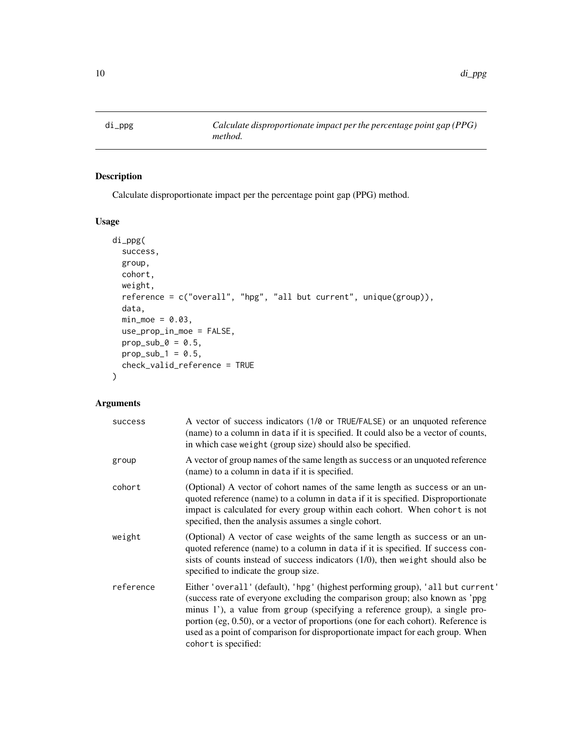<span id="page-9-1"></span><span id="page-9-0"></span>

#### Description

Calculate disproportionate impact per the percentage point gap (PPG) method.

#### Usage

```
di_ppg(
 success,
 group,
 cohort,
 weight,
  reference = c("overall", "hpg", "all but current", unique(group)),
 data,
 min\_moe = 0.03,use_prop_in_moe = FALSE,
 prop\_sub_0 = 0.5,
 prop\_sub_1 = 0.5,
 check_valid_reference = TRUE
```
#### Arguments

 $\mathcal{L}$ 

| success   | A vector of success indicators (1/0 or TRUE/FALSE) or an unquoted reference<br>(name) to a column in data if it is specified. It could also be a vector of counts,<br>in which case weight (group size) should also be specified.                                                                                                                                                                                                                 |
|-----------|---------------------------------------------------------------------------------------------------------------------------------------------------------------------------------------------------------------------------------------------------------------------------------------------------------------------------------------------------------------------------------------------------------------------------------------------------|
| group     | A vector of group names of the same length as success or an unquoted reference<br>(name) to a column in data if it is specified.                                                                                                                                                                                                                                                                                                                  |
| cohort    | (Optional) A vector of cohort names of the same length as success or an un-<br>quoted reference (name) to a column in data if it is specified. Disproportionate<br>impact is calculated for every group within each cohort. When cohort is not<br>specified, then the analysis assumes a single cohort.                                                                                                                                           |
| weight    | (Optional) A vector of case weights of the same length as success or an un-<br>quoted reference (name) to a column in data if it is specified. If success con-<br>sists of counts instead of success indicators $(1/0)$ , then weight should also be<br>specified to indicate the group size.                                                                                                                                                     |
| reference | Either 'overall' (default), 'hpg' (highest performing group), 'all but current'<br>(success rate of everyone excluding the comparison group; also known as 'ppg<br>minus 1'), a value from group (specifying a reference group), a single pro-<br>portion (eg, $0.50$ ), or a vector of proportions (one for each cohort). Reference is<br>used as a point of comparison for disproportionate impact for each group. When<br>cohort is specified: |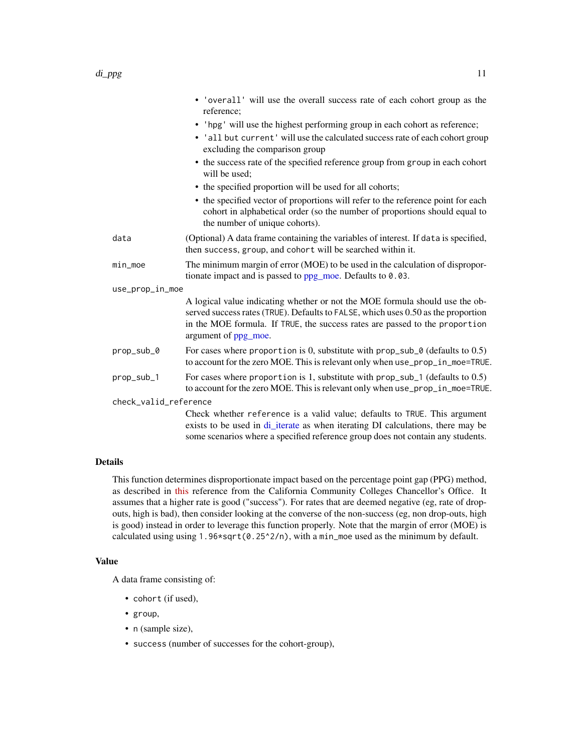<span id="page-10-0"></span>

|                       | • 'overall' will use the overall success rate of each cohort group as the<br>reference;                                                                                                                                                                                  |
|-----------------------|--------------------------------------------------------------------------------------------------------------------------------------------------------------------------------------------------------------------------------------------------------------------------|
|                       | • 'hpg' will use the highest performing group in each cohort as reference;                                                                                                                                                                                               |
|                       | • 'all but current' will use the calculated success rate of each cohort group<br>excluding the comparison group                                                                                                                                                          |
|                       | • the success rate of the specified reference group from group in each cohort<br>will be used:                                                                                                                                                                           |
|                       | • the specified proportion will be used for all cohorts;                                                                                                                                                                                                                 |
|                       | • the specified vector of proportions will refer to the reference point for each<br>cohort in alphabetical order (so the number of proportions should equal to<br>the number of unique cohorts).                                                                         |
| data                  | (Optional) A data frame containing the variables of interest. If data is specified,<br>then success, group, and cohort will be searched within it.                                                                                                                       |
| min_moe               | The minimum margin of error (MOE) to be used in the calculation of dispropor-<br>tionate impact and is passed to $ppg\_moe$ . Defaults to 0.03.                                                                                                                          |
| use_prop_in_moe       |                                                                                                                                                                                                                                                                          |
|                       | A logical value indicating whether or not the MOE formula should use the ob-<br>served success rates (TRUE). Defaults to FALSE, which uses 0.50 as the proportion<br>in the MOE formula. If TRUE, the success rates are passed to the proportion<br>argument of ppg_moe. |
| prop_sub_0            | For cases where proportion is 0, substitute with $prop\_sub_0$ (defaults to 0.5)<br>to account for the zero MOE. This is relevant only when use_prop_in_moe=TRUE.                                                                                                        |
| prop_sub_1            | For cases where proportion is 1, substitute with $prop\_sub_1$ (defaults to 0.5)<br>to account for the zero MOE. This is relevant only when use_prop_in_moe=TRUE.                                                                                                        |
| check_valid_reference |                                                                                                                                                                                                                                                                          |
|                       | Check whether reference is a valid value; defaults to TRUE. This argument<br>exists to be used in di_iterate as when iterating DI calculations, there may be<br>some scenarios where a specified reference group does not contain any students.                          |
|                       |                                                                                                                                                                                                                                                                          |

This function determines disproportionate impact based on the percentage point gap (PPG) method, as described in [this](https://www.cccco.edu/-/media/CCCCO-Website/About-Us/Divisions/Digital-Innovation-and-Infrastructure/Research/Files/PercentagePointGapMethod2017.ashx) reference from the California Community Colleges Chancellor's Office. It assumes that a higher rate is good ("success"). For rates that are deemed negative (eg, rate of dropouts, high is bad), then consider looking at the converse of the non-success (eg, non drop-outs, high is good) instead in order to leverage this function properly. Note that the margin of error (MOE) is calculated using using  $1.96*sqrt(0.25^2/n)$ , with a min\_moe used as the minimum by default.

#### Value

A data frame consisting of:

- cohort (if used),
- group,
- n (sample size),
- success (number of successes for the cohort-group),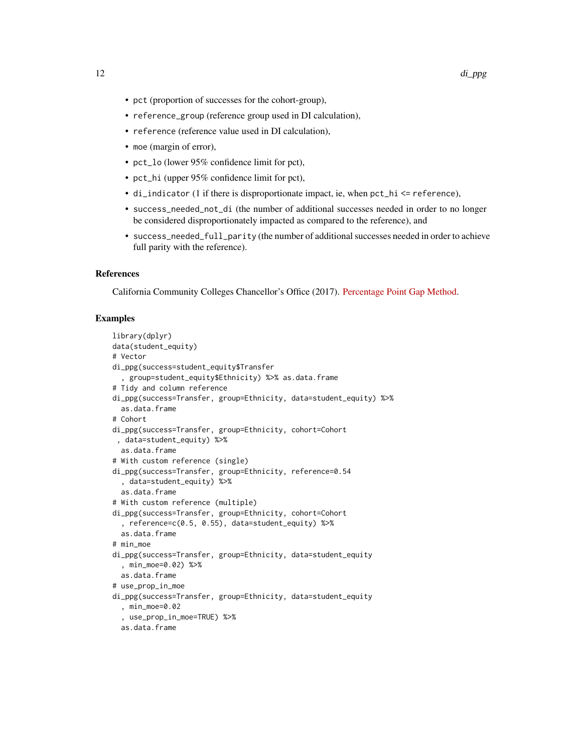- pct (proportion of successes for the cohort-group),
- reference\_group (reference group used in DI calculation),
- reference (reference value used in DI calculation),
- moe (margin of error),
- pct\_lo (lower 95% confidence limit for pct),
- pct\_hi (upper 95% confidence limit for pct),
- di\_indicator (1 if there is disproportionate impact, ie, when pct\_hi <= reference),
- success\_needed\_not\_di (the number of additional successes needed in order to no longer be considered disproportionately impacted as compared to the reference), and
- success\_needed\_full\_parity (the number of additional successes needed in order to achieve full parity with the reference).

#### References

California Community Colleges Chancellor's Office (2017). [Percentage Point Gap Method.](https://www.cccco.edu/-/media/CCCCO-Website/About-Us/Divisions/Digital-Innovation-and-Infrastructure/Research/Files/PercentagePointGapMethod2017.ashx)

#### Examples

```
library(dplyr)
data(student_equity)
# Vector
di_ppg(success=student_equity$Transfer
  , group=student_equity$Ethnicity) %>% as.data.frame
# Tidy and column reference
di_ppg(success=Transfer, group=Ethnicity, data=student_equity) %>%
  as.data.frame
# Cohort
di_ppg(success=Transfer, group=Ethnicity, cohort=Cohort
 , data=student_equity) %>%
  as.data.frame
# With custom reference (single)
di_ppg(success=Transfer, group=Ethnicity, reference=0.54
  , data=student_equity) %>%
  as.data.frame
# With custom reference (multiple)
di_ppg(success=Transfer, group=Ethnicity, cohort=Cohort
  , reference=c(0.5, 0.55), data=student_equity) %>%
  as.data.frame
# min_moe
di_ppg(success=Transfer, group=Ethnicity, data=student_equity
  , min_moe=0.02) %>%
  as.data.frame
# use_prop_in_moe
di_ppg(success=Transfer, group=Ethnicity, data=student_equity
  , min_moe=0.02
  , use_prop_in_moe=TRUE) %>%
  as.data.frame
```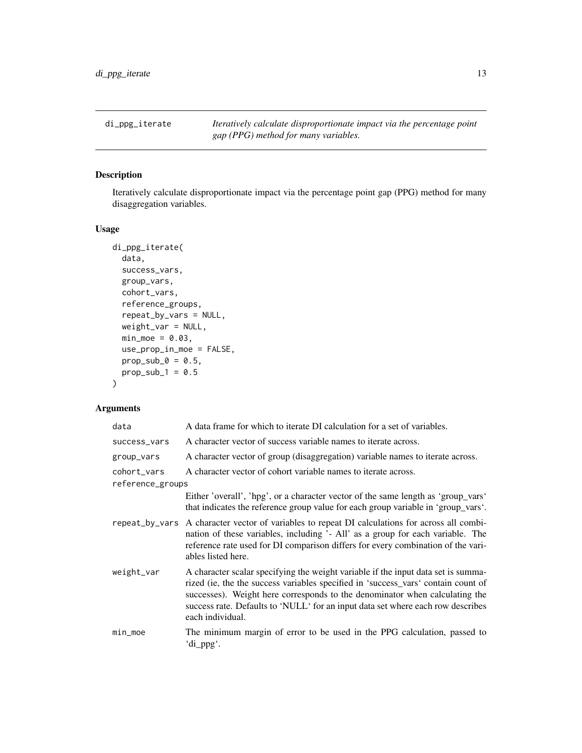<span id="page-12-0"></span>di\_ppg\_iterate *Iteratively calculate disproportionate impact via the percentage point gap (PPG) method for many variables.*

#### Description

Iteratively calculate disproportionate impact via the percentage point gap (PPG) method for many disaggregation variables.

#### Usage

```
di_ppg_iterate(
  data,
  success_vars,
  group_vars,
 cohort_vars,
  reference_groups,
  repeat_by_vars = NULL,
 weight_var = NULL,
 min\_moe = 0.03,use_prop_in_moe = FALSE,
 prop\_sub_0 = 0.5,
 prop\_sub_1 = 0.5\mathcal{L}
```

| data             | A data frame for which to iterate DI calculation for a set of variables.                                                                                                                                                                                                                                                                                     |
|------------------|--------------------------------------------------------------------------------------------------------------------------------------------------------------------------------------------------------------------------------------------------------------------------------------------------------------------------------------------------------------|
| success_vars     | A character vector of success variable names to iterate across.                                                                                                                                                                                                                                                                                              |
| group_vars       | A character vector of group (disaggregation) variable names to iterate across.                                                                                                                                                                                                                                                                               |
| cohort_vars      | A character vector of cohort variable names to iterate across.                                                                                                                                                                                                                                                                                               |
| reference_groups |                                                                                                                                                                                                                                                                                                                                                              |
|                  | Either 'overall', 'hpg', or a character vector of the same length as 'group_vars'<br>that indicates the reference group value for each group variable in 'group_vars'.                                                                                                                                                                                       |
| repeat_by_vars   | A character vector of variables to repeat DI calculations for across all combi-<br>nation of these variables, including '- All' as a group for each variable. The<br>reference rate used for DI comparison differs for every combination of the vari-<br>ables listed here.                                                                                  |
| weight_var       | A character scalar specifying the weight variable if the input data set is summa-<br>rized (ie, the the success variables specified in 'success_vars' contain count of<br>successes). Weight here corresponds to the denominator when calculating the<br>success rate. Defaults to 'NULL' for an input data set where each row describes<br>each individual. |
| $min_m$          | The minimum margin of error to be used in the PPG calculation, passed to<br>'di_ppg'.                                                                                                                                                                                                                                                                        |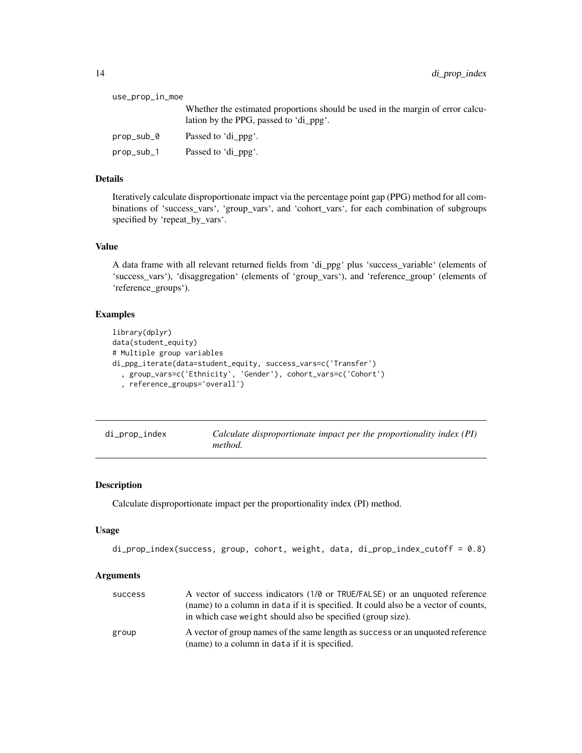<span id="page-13-0"></span>

| use_prop_in_moe |                                                                                                                          |  |
|-----------------|--------------------------------------------------------------------------------------------------------------------------|--|
|                 | Whether the estimated proportions should be used in the margin of error calcu-<br>lation by the PPG, passed to 'di_ppg'. |  |
| prop_sub_0      | Passed to 'di ppg'.                                                                                                      |  |
| prop_sub_1      | Passed to 'di ppg'.                                                                                                      |  |

Iteratively calculate disproportionate impact via the percentage point gap (PPG) method for all combinations of 'success\_vars', 'group\_vars', and 'cohort\_vars', for each combination of subgroups specified by 'repeat\_by\_vars'.

#### Value

A data frame with all relevant returned fields from 'di\_ppg' plus 'success\_variable' (elements of 'success\_vars'), 'disaggregation' (elements of 'group\_vars'), and 'reference\_group' (elements of 'reference\_groups').

#### Examples

```
library(dplyr)
data(student_equity)
# Multiple group variables
di_ppg_iterate(data=student_equity, success_vars=c('Transfer')
  , group_vars=c('Ethnicity', 'Gender'), cohort_vars=c('Cohort')
  , reference_groups='overall')
```
<span id="page-13-1"></span>

| di_prop_index | Calculate disproportionate impact per the proportionality index (PI) |
|---------------|----------------------------------------------------------------------|
|               | <i>method.</i>                                                       |

#### Description

Calculate disproportionate impact per the proportionality index (PI) method.

#### Usage

```
di_prop_index(success, group, cohort, weight, data, di_prop_index_cutoff = 0.8)
```

| success | A vector of success indicators (1/0 or TRUE/FALSE) or an unquoted reference<br>(name) to a column in data if it is specified. It could also be a vector of counts,<br>in which case weight should also be specified (group size). |
|---------|-----------------------------------------------------------------------------------------------------------------------------------------------------------------------------------------------------------------------------------|
| group   | A vector of group names of the same length as success or an unquoted reference<br>(name) to a column in data if it is specified.                                                                                                  |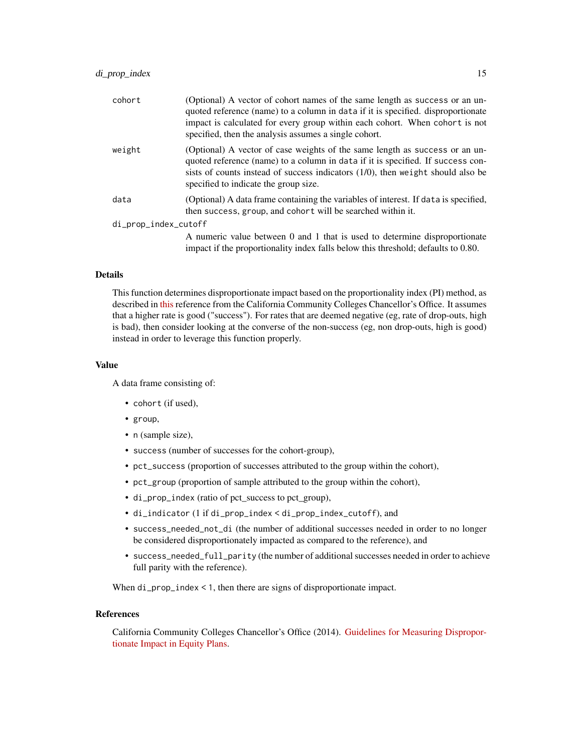| cohort               | (Optional) A vector of cohort names of the same length as success or an un-<br>quoted reference (name) to a column in data if it is specified. disproportionate<br>impact is calculated for every group within each cohort. When cohort is not<br>specified, then the analysis assumes a single cohort. |
|----------------------|---------------------------------------------------------------------------------------------------------------------------------------------------------------------------------------------------------------------------------------------------------------------------------------------------------|
| weight               | (Optional) A vector of case weights of the same length as success or an un-<br>quoted reference (name) to a column in data if it is specified. If success con-<br>sists of counts instead of success indicators $(1/0)$ , then weight should also be<br>specified to indicate the group size.           |
| data                 | (Optional) A data frame containing the variables of interest. If data is specified,<br>then success, group, and cohort will be searched within it.                                                                                                                                                      |
| di_prop_index_cutoff |                                                                                                                                                                                                                                                                                                         |
|                      | A numeric value between 0 and 1 that is used to determine disproportionate<br>impact if the proportionality index falls below this threshold; defaults to 0.80.                                                                                                                                         |

This function determines disproportionate impact based on the proportionality index (PI) method, as described in [this](https://www.cccco.edu/-/media/CCCCO-Website/Files/DII/guidelines-for-measuring-disproportionate-impact-in-equity-plans-tfa-ada.pdf) reference from the California Community Colleges Chancellor's Office. It assumes that a higher rate is good ("success"). For rates that are deemed negative (eg, rate of drop-outs, high is bad), then consider looking at the converse of the non-success (eg, non drop-outs, high is good) instead in order to leverage this function properly.

#### Value

A data frame consisting of:

- cohort (if used),
- group,
- n (sample size),
- success (number of successes for the cohort-group),
- pct\_success (proportion of successes attributed to the group within the cohort),
- pct\_group (proportion of sample attributed to the group within the cohort),
- di\_prop\_index (ratio of pct\_success to pct\_group),
- di\_indicator (1 if di\_prop\_index < di\_prop\_index\_cutoff), and
- success\_needed\_not\_di (the number of additional successes needed in order to no longer be considered disproportionately impacted as compared to the reference), and
- success\_needed\_full\_parity (the number of additional successes needed in order to achieve full parity with the reference).

When di\_prop\_index < 1, then there are signs of disproportionate impact.

#### References

California Community Colleges Chancellor's Office (2014). [Guidelines for Measuring Dispropor](https://www.cccco.edu/-/media/CCCCO-Website/About-Us/Divisions/Digital-Innovation-and-Infrastructure/Network-Operations/Accountability/Files/GUIDELINES-FOR-MEASURING-DISPROPORTIONATE-IMPACT-IN-EQUITY-PLANS.ashx)[tionate Impact in Equity Plans.](https://www.cccco.edu/-/media/CCCCO-Website/About-Us/Divisions/Digital-Innovation-and-Infrastructure/Network-Operations/Accountability/Files/GUIDELINES-FOR-MEASURING-DISPROPORTIONATE-IMPACT-IN-EQUITY-PLANS.ashx)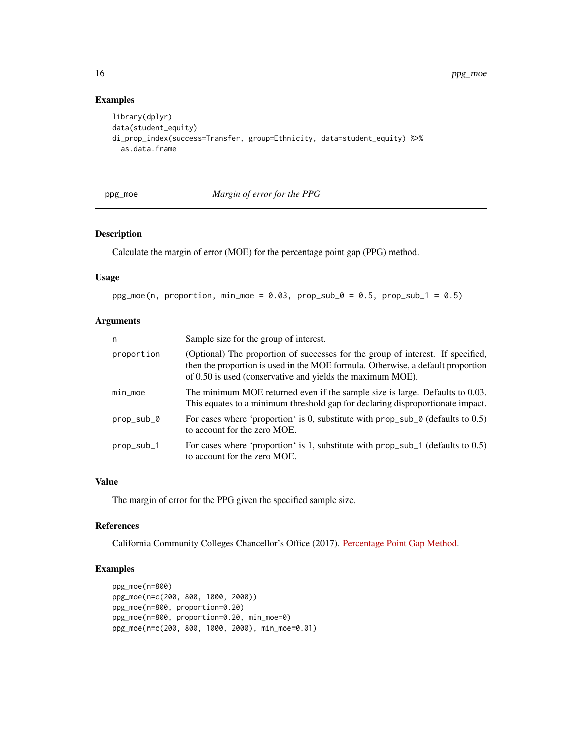#### Examples

```
library(dplyr)
data(student_equity)
di_prop_index(success=Transfer, group=Ethnicity, data=student_equity) %>%
  as.data.frame
```
#### <span id="page-15-1"></span>ppg\_moe *Margin of error for the PPG*

#### Description

Calculate the margin of error (MOE) for the percentage point gap (PPG) method.

#### Usage

```
ppg_moe(n, proportion, min_moe = 0.03, propsub_0 = 0.5, propsub_1 = 0.5)
```
#### Arguments

| n          | Sample size for the group of interest.                                                                                                                                                                                           |
|------------|----------------------------------------------------------------------------------------------------------------------------------------------------------------------------------------------------------------------------------|
| proportion | (Optional) The proportion of successes for the group of interest. If specified,<br>then the proportion is used in the MOE formula. Otherwise, a default proportion<br>of 0.50 is used (conservative and yields the maximum MOE). |
| $min_m$    | The minimum MOE returned even if the sample size is large. Defaults to 0.03.<br>This equates to a minimum threshold gap for declaring disproportionate impact.                                                                   |
| prop_sub_0 | For cases where 'proportion' is 0, substitute with $prop\_sub_0$ (defaults to 0.5)<br>to account for the zero MOE.                                                                                                               |
| prop_sub_1 | For cases where 'proportion' is 1, substitute with $prop\_sub_1$ (defaults to 0.5)<br>to account for the zero MOE.                                                                                                               |

#### Value

The margin of error for the PPG given the specified sample size.

#### References

California Community Colleges Chancellor's Office (2017). [Percentage Point Gap Method.](https://www.cccco.edu/-/media/CCCCO-Website/About-Us/Divisions/Digital-Innovation-and-Infrastructure/Research/Files/PercentagePointGapMethod2017.ashx)

#### Examples

```
ppg_moe(n=800)
ppg_moe(n=c(200, 800, 1000, 2000))
ppg_moe(n=800, proportion=0.20)
ppg_moe(n=800, proportion=0.20, min_moe=0)
ppg_moe(n=c(200, 800, 1000, 2000), min_moe=0.01)
```
<span id="page-15-0"></span>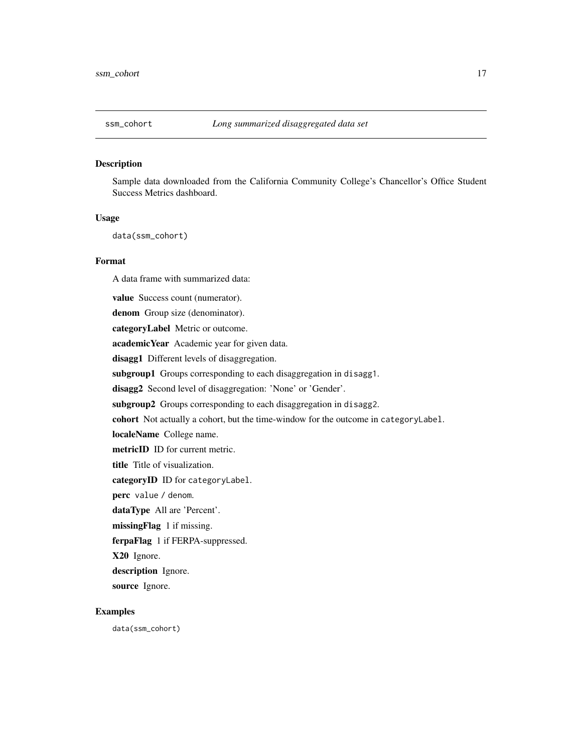#### <span id="page-16-0"></span>Description

Sample data downloaded from the California Community College's Chancellor's Office Student Success Metrics dashboard.

#### Usage

data(ssm\_cohort)

#### Format

A data frame with summarized data:

value Success count (numerator). denom Group size (denominator). categoryLabel Metric or outcome. academicYear Academic year for given data. disagg1 Different levels of disaggregation. subgroup1 Groups corresponding to each disaggregation in disagg1. disagg2 Second level of disaggregation: 'None' or 'Gender'. subgroup2 Groups corresponding to each disaggregation in disagg2. cohort Not actually a cohort, but the time-window for the outcome in categoryLabel. localeName College name. metricID ID for current metric. title Title of visualization. categoryID ID for categoryLabel. perc value / denom. dataType All are 'Percent'. missingFlag 1 if missing. ferpaFlag 1 if FERPA-suppressed. X20 Ignore. description Ignore. source Ignore.

#### Examples

data(ssm\_cohort)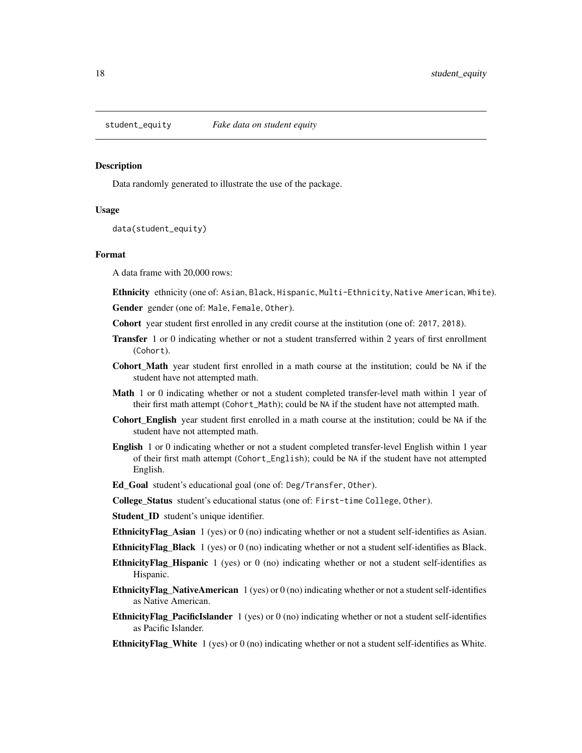<span id="page-17-0"></span>

#### Description

Data randomly generated to illustrate the use of the package.

#### Usage

data(student\_equity)

#### Format

A data frame with 20,000 rows:

Ethnicity ethnicity (one of: Asian, Black, Hispanic, Multi-Ethnicity, Native American, White). Gender gender (one of: Male, Female, Other).

- Cohort year student first enrolled in any credit course at the institution (one of: 2017, 2018).
- Transfer 1 or 0 indicating whether or not a student transferred within 2 years of first enrollment (Cohort).
- Cohort\_Math year student first enrolled in a math course at the institution; could be NA if the student have not attempted math.
- **Math** 1 or 0 indicating whether or not a student completed transfer-level math within 1 year of their first math attempt (Cohort\_Math); could be NA if the student have not attempted math.
- Cohort\_English year student first enrolled in a math course at the institution; could be NA if the student have not attempted math.
- English 1 or 0 indicating whether or not a student completed transfer-level English within 1 year of their first math attempt (Cohort\_English); could be NA if the student have not attempted English.
- Ed\_Goal student's educational goal (one of: Deg/Transfer, Other).
- College\_Status student's educational status (one of: First-time College, Other).
- Student\_ID student's unique identifier.
- **EthnicityFlag\_Asian** 1 (yes) or  $0$  (no) indicating whether or not a student self-identifies as Asian.
- **EthnicityFlag\_Black** 1 (yes) or  $0$  (no) indicating whether or not a student self-identifies as Black.
- EthnicityFlag\_Hispanic 1 (yes) or 0 (no) indicating whether or not a student self-identifies as Hispanic.
- **EthnicityFlag\_NativeAmerican**  $1$  (yes) or  $0$  (no) indicating whether or not a student self-identifies as Native American.
- **EthnicityFlag\_PacificIslander** 1 (yes) or 0 (no) indicating whether or not a student self-identifies as Pacific Islander.
- **EthnicityFlag\_White**  $1$  (yes) or  $0$  (no) indicating whether or not a student self-identifies as White.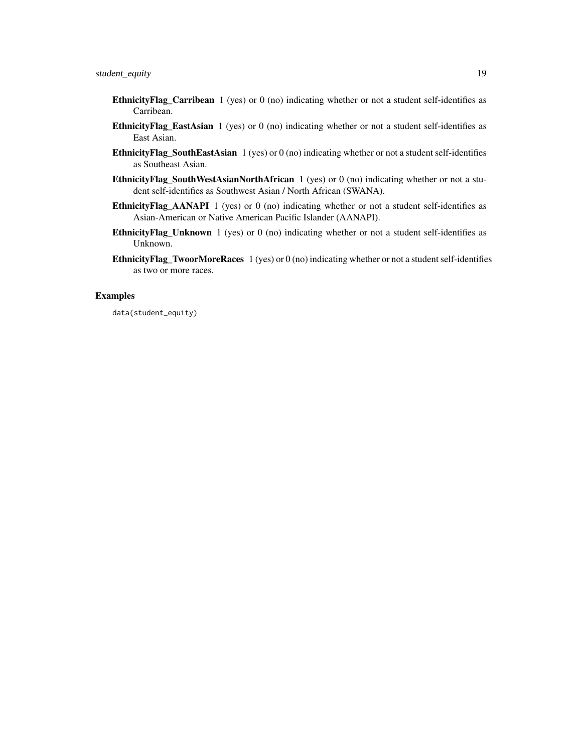- **EthnicityFlag\_Carribean** 1 (yes) or 0 (no) indicating whether or not a student self-identifies as Carribean.
- EthnicityFlag\_EastAsian 1 (yes) or 0 (no) indicating whether or not a student self-identifies as East Asian.
- EthnicityFlag\_SouthEastAsian 1 (yes) or 0 (no) indicating whether or not a student self-identifies as Southeast Asian.
- EthnicityFlag\_SouthWestAsianNorthAfrican 1 (yes) or 0 (no) indicating whether or not a student self-identifies as Southwest Asian / North African (SWANA).
- **EthnicityFlag\_AANAPI** 1 (yes) or 0 (no) indicating whether or not a student self-identifies as Asian-American or Native American Pacific Islander (AANAPI).
- EthnicityFlag\_Unknown 1 (yes) or 0 (no) indicating whether or not a student self-identifies as Unknown.
- EthnicityFlag\_TwoorMoreRaces 1 (yes) or 0 (no) indicating whether or not a student self-identifies as two or more races.

#### Examples

data(student\_equity)